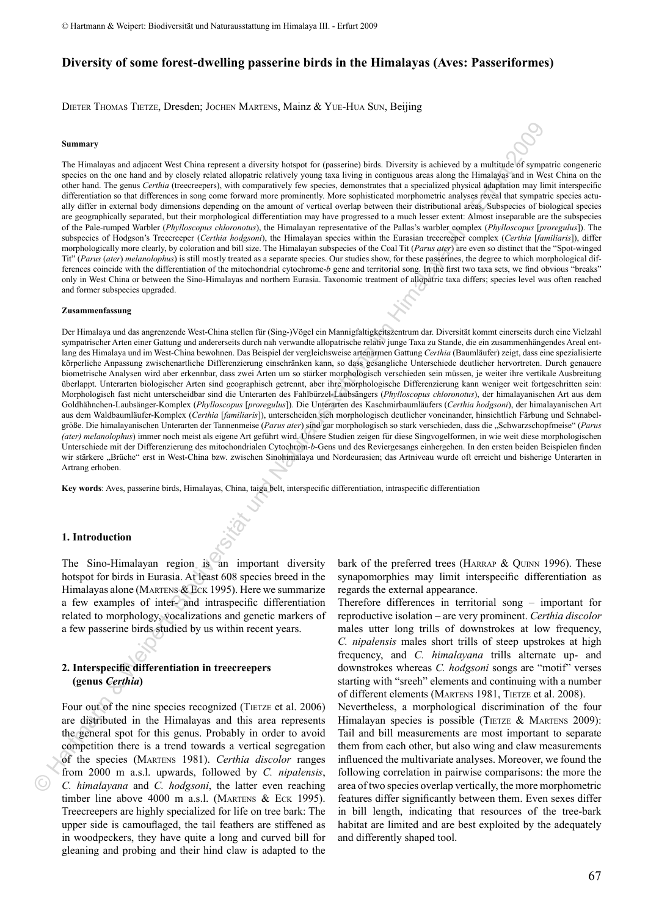# **Diversity of some forest-dwelling passerine birds in the Himalayas (Aves: Passeriformes)**

Dieter Thomas Tietze, Dresden; Jochen Martens, Mainz & Yue-Hua Sun, Beijing

#### **Summary**

The Himalayas and adjacent West China represent a diversity hotspot for (passerine) birds. Diversity is achieved by a multitude of sympatric congeneric species on the one hand and by closely related allopatric relatively young taxa living in contiguous areas along the Himalayas and in West China on the other hand. The genus *Certhia* (treecreepers), with comparatively few species, demonstrates that a specialized physical adaptation may limit interspecific differentiation so that differences in song come forward more prominently. More sophisticated morphometric analyses reveal that sympatric species actually differ in external body dimensions depending on the amount of vertical overlap between their distributional areas. Subspecies of biological species are geographically separated, but their morphological differentiation may have progressed to a much lesser extent: Almost inseparable are the subspecies of the Pale-rumped Warbler (*Phylloscopus chloronotus*), the Himalayan representative of the Pallas's warbler complex (*Phylloscopus* [*proregulus*]). The subspecies of Hodgson's Treecreeper (*Certhia hodgsoni*), the Himalayan species within the Eurasian treecreeper complex (*Certhia* [*familiaris*]), differ morphologically more clearly, by coloration and bill size. The Himalayan subspecies of the Coal Tit (*Parus ater*) are even so distinct that the "Spot-winged Tit" (*Parus* (*ater*) *melanolophus*) is still mostly treated as a separate species. Our studies show, for these passerines, the degree to which morphological differences coincide with the differentiation of the mitochondrial cytochrome-*b* gene and territorial song. In the first two taxa sets, we find obvious "breaks" only in West China or between the Sino-Himalayas and northern Eurasia. Taxonomic treatment of allopatric taxa differs; species level was often reached and former subspecies upgraded.

#### **Zusammenfassung**

Der Himalaya und das angrenzende West-China stellen für (Sing-)Vögel ein Mannigfaltigkeitszentrum dar. Diversität kommt einerseits durch eine Vielzahl sympatrischer Arten einer Gattung und andererseits durch nah verwandte allopatrische relativ junge Taxa zu Stande, die ein zusammenhängendes Areal entlang des Himalaya und im West-China bewohnen. Das Beispiel der vergleichsweise artenarmen Gattung *Certhia* (Baumläufer) zeigt, dass eine spezialisierte körperliche Anpassung zwischenartliche Differenzierung einschränken kann, so dass gesangliche Unterschiede deutlicher hervortreten. Durch genauere biometrische Analysen wird aber erkennbar, dass zwei Arten um so stärker morphologisch verschieden sein müssen, je weiter ihre vertikale Ausbreitung überlappt. Unterarten biologischer Arten sind geographisch getrennt, aber ihre morphologische Differenzierung kann weniger weit fortgeschritten sein: Morphologisch fast nicht unterscheidbar sind die Unterarten des Fahlbürzel-Laubsängers (*Phylloscopus chloronotus*), der himalayanischen Art aus dem Goldhähnchen-Laubsänger-Komplex (*Phylloscopus* [*proregulus*]). Die Unterarten des Kaschmirbaumläufers (*Certhia hodgsoni*), der himalayanischen Art aus dem Waldbaumläufer-Komplex (*Certhia* [*familiaris*]), unterscheiden sich morphologisch deutlicher voneinander, hinsichtlich Färbung und Schnabelgröße. Die himalayanischen Unterarten der Tannenmeise (*Parus ater*) sind gar morphologisch so stark verschieden, dass die "Schwarzschopfmeise" (*Parus (ater) melanolophus*) immer noch meist als eigene Art geführt wird. Unsere Studien zeigen für diese Singvogelformen, in wie weit diese morphologischen Unterschiede mit der Differenzierung des mitochondrialen Cytochrom-*b*-Gens und des Reviergesangs einhergehen. In den ersten beiden Beispielen finden wir stärkere "Brüche" erst in West-China bzw. zwischen Sinohimalaya und Nordeurasien; das Artniveau wurde oft erreicht und bisherige Unterarten in Artrang erhoben. Sommary<br>
Sommary<br>
No Hartmann and Society control and the system of a finite benefit in the system of the system of the<br>
Hereina of the system of the system of the system of the system of the<br>
differentiation of the syste

**Key words**: Aves, passerine birds, Himalayas, China, taiga belt, interspecific differentiation, intraspecific differentiation

#### **1. Introduction**

The Sino-Himalayan region is an important diversity hotspot for birds in Eurasia. At least 608 species breed in the Himalayas alone (MARTENS & ECK 1995). Here we summarize a few examples of inter- and intraspecific differentiation related to morphology, vocalizations and genetic markers of a few passerine birds studied by us within recent years.

### **2. Interspecific differentiation in treecreepers (genus** *Certhia***)**

Four out of the nine species recognized (TIETZE et al. 2006) are distributed in the Himalayas and this area represents the general spot for this genus. Probably in order to avoid competition there is a trend towards a vertical segregation of the species (Martens 1981). *Certhia discolor* ranges from 2000 m a.s.l. upwards, followed by *C. nipalensis*, *C. himalayana* and *C. hodgsoni*, the latter even reaching timber line above 4000 m a.s.l. (MARTENS  $&$  ECK 1995). Treecreepers are highly specialized for life on tree bark: The upper side is camouflaged, the tail feathers are stiffened as in woodpeckers, they have quite a long and curved bill for gleaning and probing and their hind claw is adapted to the bark of the preferred trees (HARRAP  $&$  QUINN 1996). These synapomorphies may limit interspecific differentiation as regards the external appearance.

Therefore differences in territorial song – important for reproductive isolation – are very prominent. *Certhia discolor*  males utter long trills of downstrokes at low frequency, *C. nipalensis* males short trills of steep upstrokes at high frequency, and *C. himalayana* trills alternate up- and downstrokes whereas *C. hodgsoni* songs are "motif" verses starting with "sreeh" elements and continuing with a number of different elements (MARTENS 1981, TIETZE et al. 2008). Nevertheless, a morphological discrimination of the four Himalayan species is possible (TIETZE & MARTENS 2009): Tail and bill measurements are most important to separate them from each other, but also wing and claw measurements influenced the multivariate analyses. Moreover, we found the following correlation in pairwise comparisons: the more the area of two species overlap vertically, the more morphometric features differ significantly between them. Even sexes differ in bill length, indicating that resources of the tree-bark habitat are limited and are best exploited by the adequately and differently shaped tool.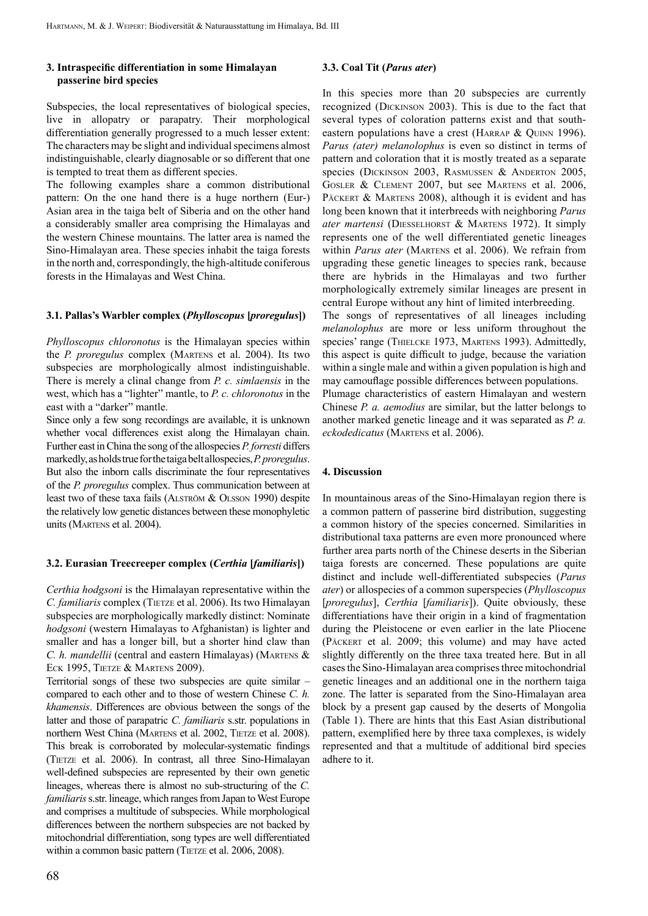## **3. Intraspecific differentiation in some Himalayan passerine bird species**

Subspecies, the local representatives of biological species, live in allopatry or parapatry. Their morphological differentiation generally progressed to a much lesser extent: The characters may be slight and individual specimens almost indistinguishable, clearly diagnosable or so different that one is tempted to treat them as different species.

The following examples share a common distributional pattern: On the one hand there is a huge northern (Eur-) Asian area in the taiga belt of Siberia and on the other hand a considerably smaller area comprising the Himalayas and the western Chinese mountains. The latter area is named the Sino-Himalayan area. These species inhabit the taiga forests in the north and, correspondingly, the high-altitude coniferous forests in the Himalayas and West China.

## **3.1. Pallas's Warbler complex (***Phylloscopus* **[***proregulus***])**

*Phylloscopus chloronotus* is the Himalayan species within the *P. proregulus* complex (Martens et al. 2004). Its two subspecies are morphologically almost indistinguishable. There is merely a clinal change from *P. c. simlaensis* in the west, which has a "lighter" mantle, to *P. c. chloronotus* in the east with a "darker" mantle.

Since only a few song recordings are available, it is unknown whether vocal differences exist along the Himalayan chain. Further east in China the song of the allospecies *P. forresti* differs markedly, as holds true for the taiga belt allospecies, *P. proregulus*. But also the inborn calls discriminate the four representatives of the *P. proregulus* complex. Thus communication between at least two of these taxa fails (ALSTRÖM & OLSSON 1990) despite the relatively low genetic distances between these monophyletic units (Martens et al. 2004).

#### **3.2. Eurasian Treecreeper complex (***Certhia* **[***familiaris***])**

*Certhia hodgsoni* is the Himalayan representative within the *C. familiaris* complex (TIETZE et al. 2006). Its two Himalayan subspecies are morphologically markedly distinct: Nominate *hodgsoni* (western Himalayas to Afghanistan) is lighter and smaller and has a longer bill, but a shorter hind claw than *C. h. mandellii* (central and eastern Himalayas) (MARTENS & ECK 1995, TIETZE & MARTENS 2009).

Territorial songs of these two subspecies are quite similar – compared to each other and to those of western Chinese *C. h. khamensis*. Differences are obvious between the songs of the latter and those of parapatric *C. familiaris* s.str. populations in northern West China (MARTENS et al. 2002, TIETZE et al. 2008). This break is corroborated by molecular-systematic findings (Tietze et al. 2006). In contrast, all three Sino-Himalayan well-defined subspecies are represented by their own genetic lineages, whereas there is almost no sub-structuring of the *C. familiaris* s.str. lineage, which ranges from Japan to West Europe and comprises a multitude of subspecies. While morphological differences between the northern subspecies are not backed by mitochondrial differentiation, song types are well differentiated within a common basic pattern (TIETZE et al. 2006, 2008).

## **3.3. Coal Tit (***Parus ater***)**

In this species more than 20 subspecies are currently recognized (Dickinson 2003). This is due to the fact that several types of coloration patterns exist and that southeastern populations have a crest (HARRAP & QUINN 1996). *Parus (ater) melanolophus* is even so distinct in terms of pattern and coloration that it is mostly treated as a separate species (DICKINSON 2003, RASMUSSEN & ANDERTON 2005, Gosler & Clement 2007, but see Martens et al. 2006, PÄCKERT & MARTENS 2008), although it is evident and has long been known that it interbreeds with neighboring *Parus ater martensi* (Diesselhorst & Martens 1972). It simply represents one of the well differentiated genetic lineages within *Parus ater* (MARTENS et al. 2006). We refrain from upgrading these genetic lineages to species rank, because there are hybrids in the Himalayas and two further morphologically extremely similar lineages are present in central Europe without any hint of limited interbreeding.

The songs of representatives of all lineages including *melanolophus* are more or less uniform throughout the species' range (THIELCKE 1973, MARTENS 1993). Admittedly, this aspect is quite difficult to judge, because the variation within a single male and within a given population is high and may camouflage possible differences between populations. Plumage characteristics of eastern Himalayan and western Chinese *P. a. aemodius* are similar, but the latter belongs to another marked genetic lineage and it was separated as *P. a. eckodedicatus* (Martens et al. 2006).

## **4. Discussion**

In mountainous areas of the Sino-Himalayan region there is a common pattern of passerine bird distribution, suggesting a common history of the species concerned. Similarities in distributional taxa patterns are even more pronounced where further area parts north of the Chinese deserts in the Siberian taiga forests are concerned. These populations are quite distinct and include well-differentiated subspecies (*Parus ater*) or allospecies of a common superspecies (*Phylloscopus* [*proregulus*], *Certhia* [*familiaris*]). Quite obviously, these differentiations have their origin in a kind of fragmentation during the Pleistocene or even earlier in the late Pliocene (Päckert et al. 2009; this volume) and may have acted slightly differently on the three taxa treated here. But in all cases the Sino-Himalayan area comprises three mitochondrial genetic lineages and an additional one in the northern taiga zone. The latter is separated from the Sino-Himalayan area block by a present gap caused by the deserts of Mongolia (Table 1). There are hints that this East Asian distributional pattern, exemplified here by three taxa complexes, is widely represented and that a multitude of additional bird species adhere to it.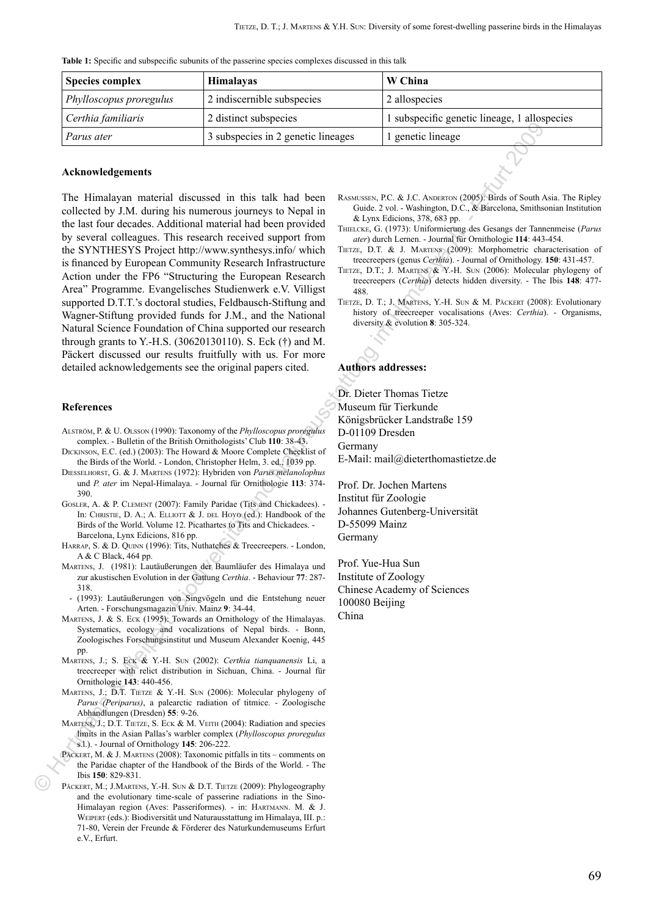**Table 1:** Specific and subspecific subunits of the passerine species complexes discussed in this talk

| <b>Species complex</b>         | <b>Himalayas</b>                   | W China                                      |
|--------------------------------|------------------------------------|----------------------------------------------|
| <i>Phylloscopus proregulus</i> | 2 indiscernible subspecies         | 2 allospecies                                |
| Certhia familiaris             | 2 distinct subspecies              | 1 subspecific genetic lineage, 1 allospecies |
| Parus ater                     | 3 subspecies in 2 genetic lineages | l genetic lineage                            |

### **Acknowledgements**

The Himalayan material discussed in this talk had been collected by J.M. during his numerous journeys to Nepal in the last four decades. Additional material had been provided by several colleagues. This research received support from the SYNTHESYS Project http://www.synthesys.info/ which is financed by European Community Research Infrastructure Action under the FP6 "Structuring the European Research Area" Programme. Evangelisches Studienwerk e.V. Villigst supported D.T.T.'s doctoral studies, Feldbausch-Stiftung and Wagner-Stiftung provided funds for J.M., and the National Natural Science Foundation of China supported our research through grants to Y.-H.S. (30620130110). S. Eck (†) and M. Päckert discussed our results fruitfully with us. For more detailed acknowledgements see the original papers cited. **The main control is the control interaction of the main control interaction of the main control interaction of the main control interaction of the main control interaction of the main control interaction of the main cont** 

#### **References**

- Alström, P. & U. Olsson (1990): Taxonomy of the *Phylloscopus proregulus* complex. - Bulletin of the British Ornithologists' Club **110**: 38-43.
- Dickinson, E.C. (ed.) (2003): The Howard & Moore Complete Checklist of the Birds of the World. - London, Christopher Helm, 3. ed., 1039 pp.
- Diesselhorst, G. & J. Martens (1972): Hybriden von *Parus melanolophus* und *P. ater* im Nepal-Himalaya. - Journal für Ornithologie **113**: 374- 390.
- Gosler, A. & P. Clement (2007): Family Paridae (Tits and Chickadees). In: CHRISTIE, D. A.; A. ELLIOTT & J. DEL HOYO (ed.): Handbook of the Birds of the World. Volume 12. Picathartes to Tits and Chickadees. - Barcelona, Lynx Edicions, 816 pp.
- HARRAP, S. & D. QUINN (1996): Tits, Nuthatches & Treecreepers. London, A & C Black, 464 pp.
- Martens, J. (1981): Lautäußerungen der Baumläufer des Himalaya und zur akustischen Evolution in der Gattung *Certhia*. - Behaviour **77**: 287- 318.
- (1993): Lautäußerungen von Singvögeln und die Entstehung neuer Arten. - Forschungsmagazin Univ. Mainz **9**: 34-44.
- MARTENS, J. & S. ECK (1995): Towards an Ornithology of the Himalayas. Systematics, ecology and vocalizations of Nepal birds. - Bonn, Zoologisches Forschungsinstitut und Museum Alexander Koenig, 445 pp.
- Martens, J.; S. Eck & Y.-H. Sun (2002): *Certhia tianquanensis* Li, a treecreeper with relict distribution in Sichuan, China. - Journal für Ornithologie **143**: 440-456.
- MARTENS, J.; D.T. TIETZE & Y.-H. SUN (2006): Molecular phylogeny of *Parus (Periparus)*, a palearctic radiation of titmice. - Zoologische Abhandlungen (Dresden) **55**: 9-26.
- MARTENS, J.; D.T. TIETZE, S. ECK & M. VEITH (2004): Radiation and species limits in the Asian Pallas's warbler complex (*Phylloscopus proregulus* s.l.). - Journal of Ornithology **145**: 206-222.
- Päckert, M. & J. Martens (2008): Taxonomic pitfalls in tits comments on the Paridae chapter of the Handbook of the Birds of the World. - The Ibis **150**: 829-831.
- PÄCKERT, M.; J.MARTENS, Y.-H. SUN & D.T. TIETZE (2009): Phylogeography and the evolutionary time-scale of passerine radiations in the Sino-Himalayan region (Aves: Passeriformes). - in: Hartmann. M. & J. Weipert (eds.): Biodiversität und Naturausstattung im Himalaya, III. p.: 71-80, Verein der Freunde & Förderer des Naturkundemuseums Erfurt e.V., Erfurt.
- Rasmussen, P.C. & J.C. Anderton (2005): Birds of South Asia. The Ripley Guide. 2 vol. - Washington, D.C., & Barcelona, Smithsonian Institution & Lynx Edicions, 378, 683 pp.
- Thielcke, G. (1973): Uniformierung des Gesangs der Tannenmeise (*Parus ater*) durch Lernen. - Journal für Ornithologie **114**: 443-454.
- TIETZE, D.T. & J. MARTENS (2009): Morphometric characterisation of treecreepers (genus *Certhia*). - Journal of Ornithology. **150**: 431-457.
- Tietze, D.T.; J. Martens & Y.-H. Sun (2006): Molecular phylogeny of treecreepers (*Certhia*) detects hidden diversity. - The Ibis **148**: 477- 488.
- TIETZE, D. T.; J. MARTENS, Y.-H. SUN & M. PÄCKERT (2008): Evolutionary history of treecreeper vocalisations (Aves: *Certhia*). - Organisms, diversity & evolution **8**: 305-324.

#### **Authors addresses:**

Dr. Dieter Thomas Tietze Museum für Tierkunde Königsbrücker Landstraße 159 D-01109 Dresden Germany E-Mail: mail@dieterthomastietze.de

Prof. Dr. Jochen Martens Institut für Zoologie Johannes Gutenberg-Universität D-55099 Mainz Germany

Prof. Yue-Hua Sun Institute of Zoology Chinese Academy of Sciences 100080 Beijing China